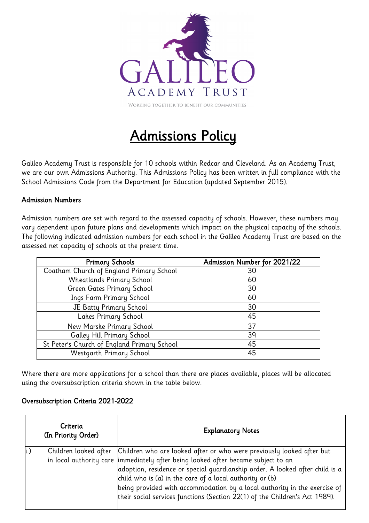

# Admissions Policy

Galileo Academy Trust is responsible for 10 schools within Redcar and Cleveland. As an Academy Trust, we are our own Admissions Authority. This Admissions Policy has been written in full compliance with the School Admissions Code from the Department for Education (updated September 2015).

## Admission Numbers

Admission numbers are set with regard to the assessed capacity of schools. However, these numbers may vary dependent upon future plans and developments which impact on the physical capacity of the schools. The following indicated admission numbers for each school in the Galileo Academy Trust are based on the assessed net capacity of schools at the present time.

| <b>Primary Schools</b>                      | Admission Number for 2021/22 |
|---------------------------------------------|------------------------------|
| Coatham Church of England Primary School    | 30                           |
| <b>Wheatlands Primary School</b>            | 60                           |
| Green Gates Primary School                  | 30                           |
| Ings Farm Primary School                    | 60                           |
| JE Batty Primary School                     | 30                           |
| Lakes Primary School                        | 45                           |
| New Marske Primary School                   | 37                           |
| Galley Hill Primary School                  | 39                           |
| St Peter's Church of England Primary School | 45                           |
| Westgarth Primary School                    | 45                           |

Where there are more applications for a school than there are places available, places will be allocated using the oversubscription criteria shown in the table below.

## Oversubscription Criteria 2021-2022

| Criteria<br>(In Priority Order) | <b>Explanatory Notes</b>                                                                                                                                                                                                                                                                                                                                                                                                                                            |
|---------------------------------|---------------------------------------------------------------------------------------------------------------------------------------------------------------------------------------------------------------------------------------------------------------------------------------------------------------------------------------------------------------------------------------------------------------------------------------------------------------------|
| Children looked after           | Children who are looked after or who were previously looked after but<br>in local authority care limmediately after being looked after became subject to an<br>adoption, residence or special guardianship order. A looked after child is a<br>child who is (a) in the care of a local authority or (b)<br>being provided with accommodation by a local authority in the exercise of<br>their social services functions (Section 22(1) of the Children's Act 1989). |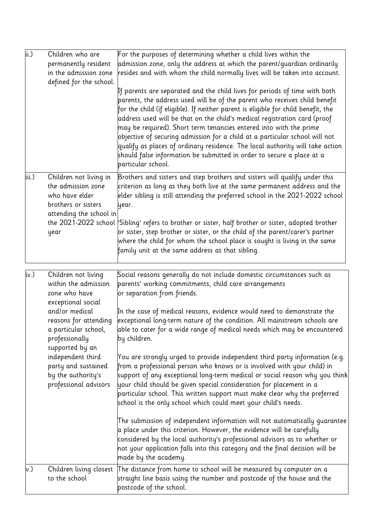| ii.)  | Children who are<br>permanently resident<br>in the admission zone<br>defined for the school.                     | For the purposes of determining whether a child lives within the<br>admission zone, only the address at which the parent/guardian ordinarily<br>resides and with whom the child normally lives will be taken into account.<br>If parents are separated and the child lives for periods of time with both $\,$                                                                                                                                                                                                                                                                               |
|-------|------------------------------------------------------------------------------------------------------------------|---------------------------------------------------------------------------------------------------------------------------------------------------------------------------------------------------------------------------------------------------------------------------------------------------------------------------------------------------------------------------------------------------------------------------------------------------------------------------------------------------------------------------------------------------------------------------------------------|
|       |                                                                                                                  | parents, the address used will be of the parent who receives child benefit<br>$\!$ for the child (if eligible). If neither parent is eligible for child benefit, the<br>address used will be that on the child's medical registration card (proof<br>$\,$ may be required). Short term tenancies entered into with the prime<br>objective of securing admission for a child at a particular school will not<br>qualify as places of ordinary residence. The local authority will take action<br>should false information be submitted in order to secure a place at a<br>particular school. |
| iii.) | Children not living in<br>the admission zone<br>who have elder<br>brothers or sisters<br>attending the school in | Brothers and sisters and step brothers and sisters will qualify under this<br>criterion as long as they both live at the same permanent address and the<br>elder sibling is still attending the preferred school in the 2021-2022 school<br>year.                                                                                                                                                                                                                                                                                                                                           |
|       | year                                                                                                             | the 2021-2022 school Sibling' refers to brother or sister, half brother or sister, adopted brother<br>or sister, step brother or sister, or the child of the parent/carer's partner<br>where the child for whom the school place is sought is living in the same<br>family unit at the same address as that sibling.                                                                                                                                                                                                                                                                        |
| iv.)  | Children not living<br>within the admission<br>zone who have<br>exceptional social                               | Social reasons generally do not include domestic circumstances such as<br>parents' working commitments, child care arrangements<br>or separation from friends.                                                                                                                                                                                                                                                                                                                                                                                                                              |
|       | and/or medical<br>reasons for attending<br>a particular school,<br>professionally<br>supported by an             | In the case of medical reasons, evidence would need to demonstrate the<br>exceptional long-term nature of the condition. All mainstream schools are<br>able to cater for a wide range of medical needs which may be encountered<br>by children.                                                                                                                                                                                                                                                                                                                                             |
|       | independent third<br>party and sustained<br>by the authority's<br>professional advisors                          | You are strongly urged to provide independent third party information (e.g.<br>from a professional person who knows or is involved with your child) in<br>$ {\sf support\ of\ any\ exceptional\ long\-term\ medical\ or\ social\ reason\ why\ you\ think} $<br>your child should be given special consideration for placement in a<br>particular school. This written support must make clear why the preferred<br>school is the only school which could meet your child's needs.                                                                                                           |
|       |                                                                                                                  | The submission of independent information will not automatically guarantee $\overline{\phantom{a}}$<br>a place under this criterion. However, the evidence will be carefully<br>considered by the local authority's professional advisors as to whether or<br>not your application falls into this category and the final decision will be<br>made by the academy.                                                                                                                                                                                                                          |
| v.)   | to the school                                                                                                    | Children living closest The distance from home to school will be measured by computer on a<br>straight line basis using the number and postcode of the house and the<br>postcode of the school.                                                                                                                                                                                                                                                                                                                                                                                             |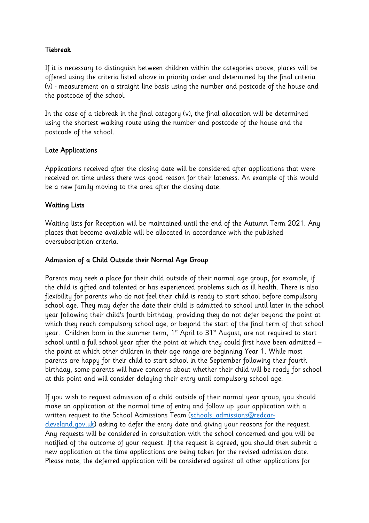# Tiebreak

If it is necessary to distinguish between children within the categories above, places will be offered using the criteria listed above in priority order and determined by the final criteria (v) - measurement on a straight line basis using the number and postcode of the house and the postcode of the school.

In the case of a tiebreak in the final category (v), the final allocation will be determined using the shortest walking route using the number and postcode of the house and the postcode of the school.

## Late Applications

Applications received after the closing date will be considered after applications that were received on time unless there was good reason for their lateness. An example of this would be a new family moving to the area after the closing date.

## Waiting Lists

Waiting lists for Reception will be maintained until the end of the Autumn Term 2021. Any places that become available will be allocated in accordance with the published oversubscription criteria.

#### Admission of a Child Outside their Normal Age Group

Parents may seek a place for their child outside of their normal age group, for example, if the child is gifted and talented or has experienced problems such as ill health. There is also flexibility for parents who do not feel their child is ready to start school before compulsory school age. They may defer the date their child is admitted to school until later in the school year following their child's fourth birthday, providing they do not defer beyond the point at which they reach compulsory school age, or beyond the start of the final term of that school year. Children born in the summer term,  $1^{st}$  April to  $31^{st}$  August, are not required to start school until a full school year after the point at which they could first have been admitted – the point at which other children in their age range are beginning Year 1. While most parents are happy for their child to start school in the September following their fourth birthday, some parents will have concerns about whether their child will be ready for school at this point and will consider delaying their entry until compulsory school age.

If you wish to request admission of a child outside of their normal year group, you should make an application at the normal time of entry and follow up your application with a written request to the School Admissions Team (schools\_admissions@redcarcleveland.gov.uk) asking to defer the entry date and giving your reasons for the request. Any requests will be considered in consultation with the school concerned and you will be notified of the outcome of your request. If the request is agreed, you should then submit a new application at the time applications are being taken for the revised admission date. Please note, the deferred application will be considered against all other applications for